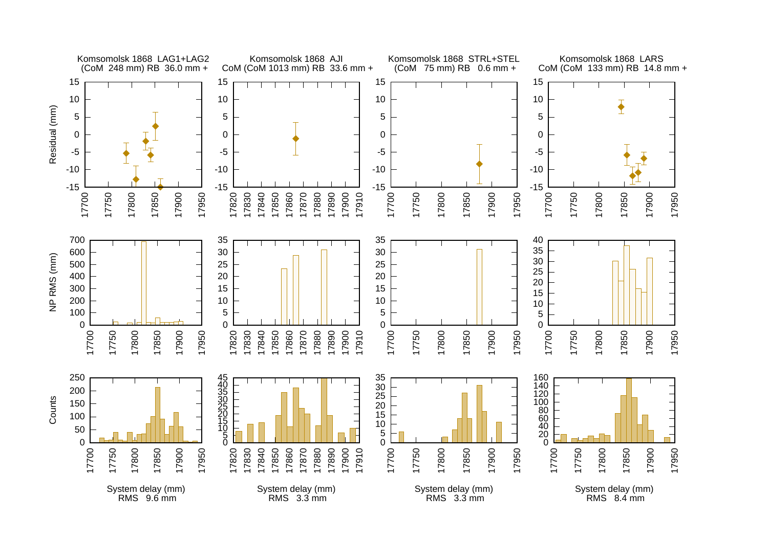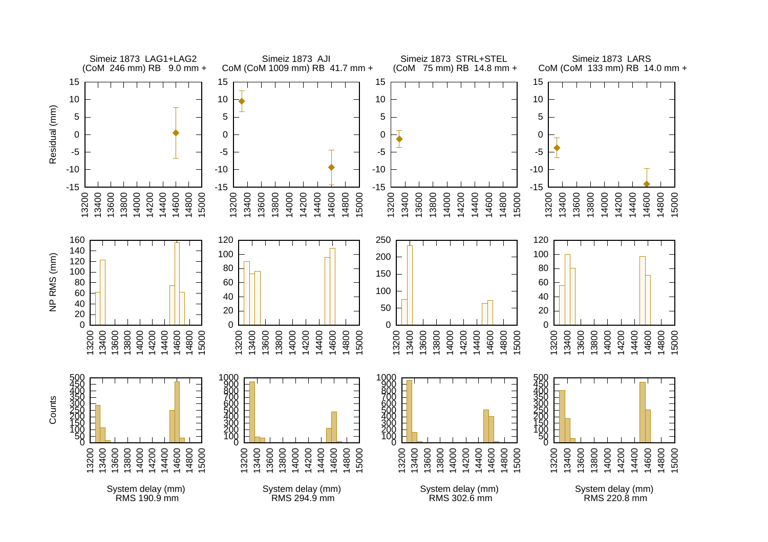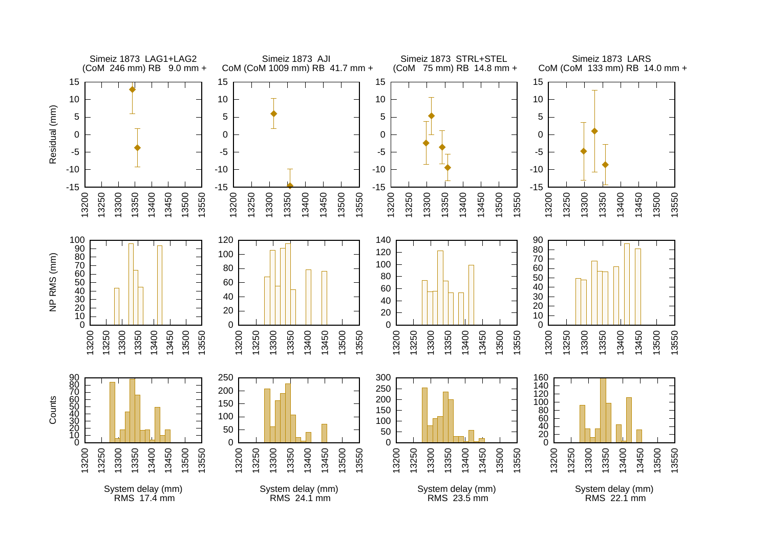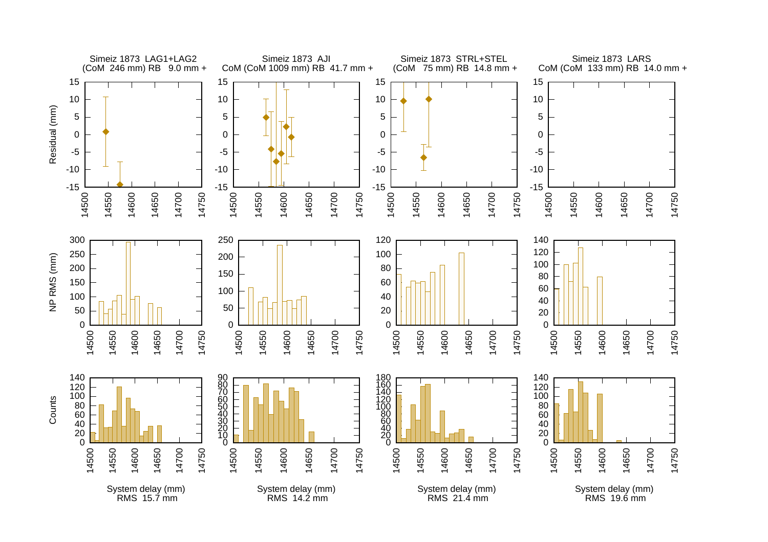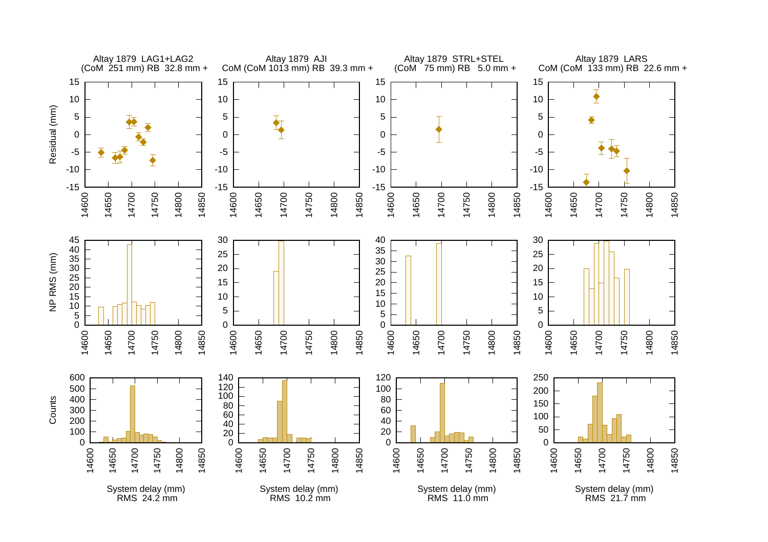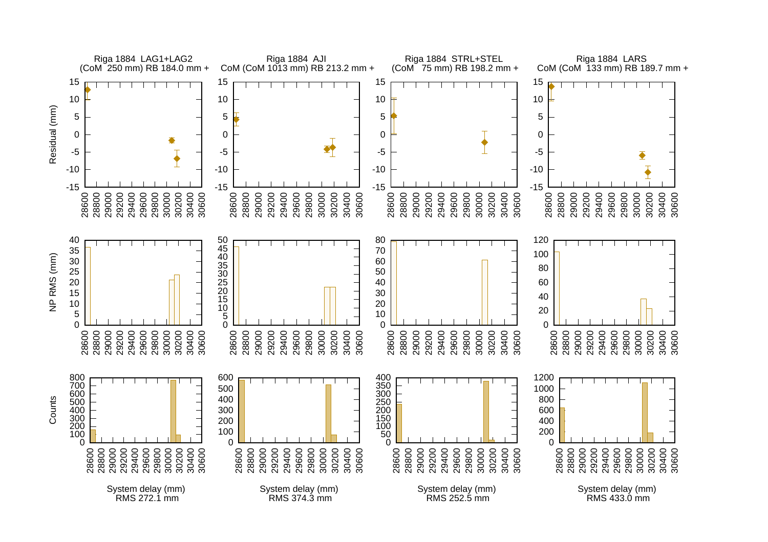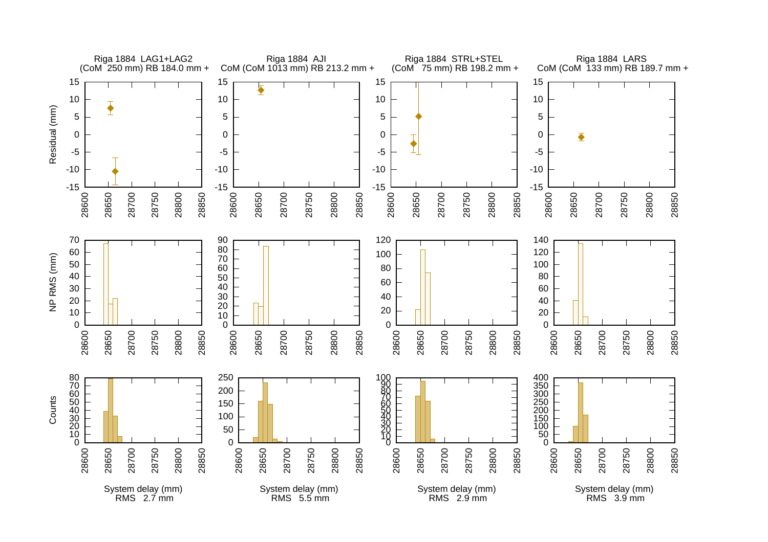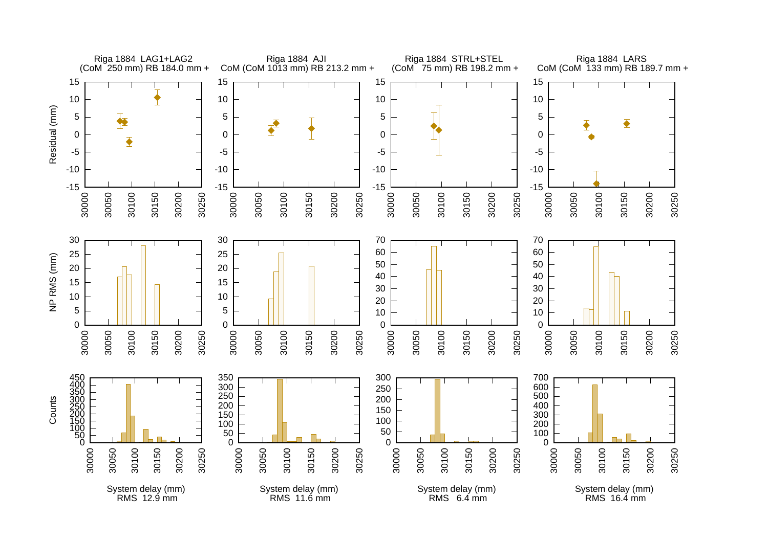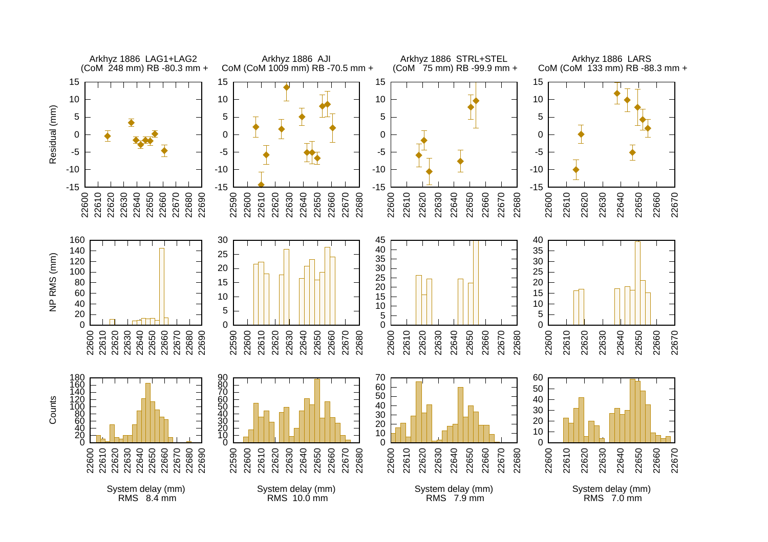

RMS 10.0 mm

RMS 7.9 mm

System delay (mm) RMS 7.0 mm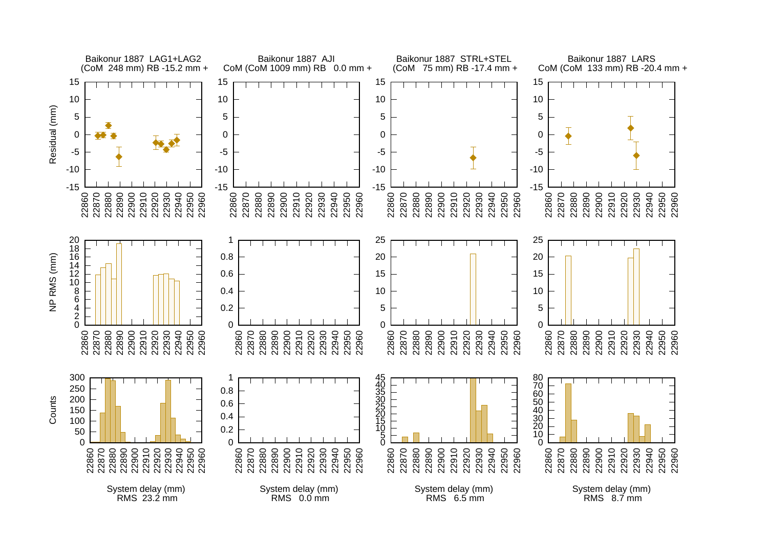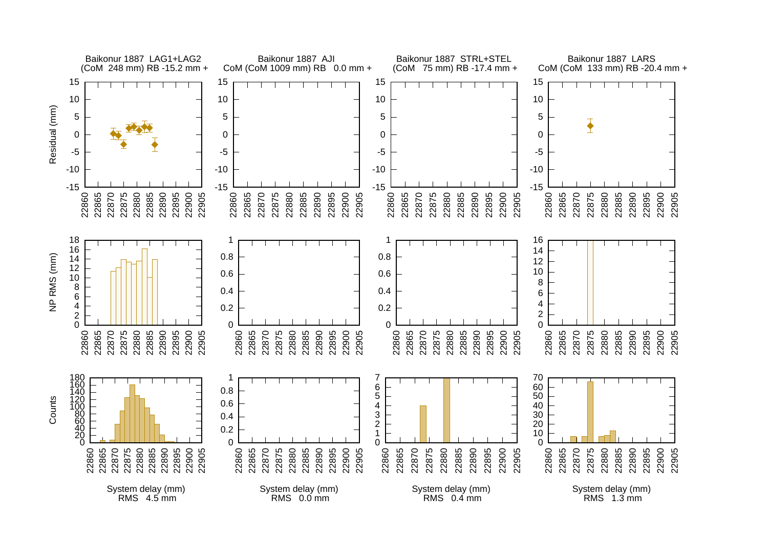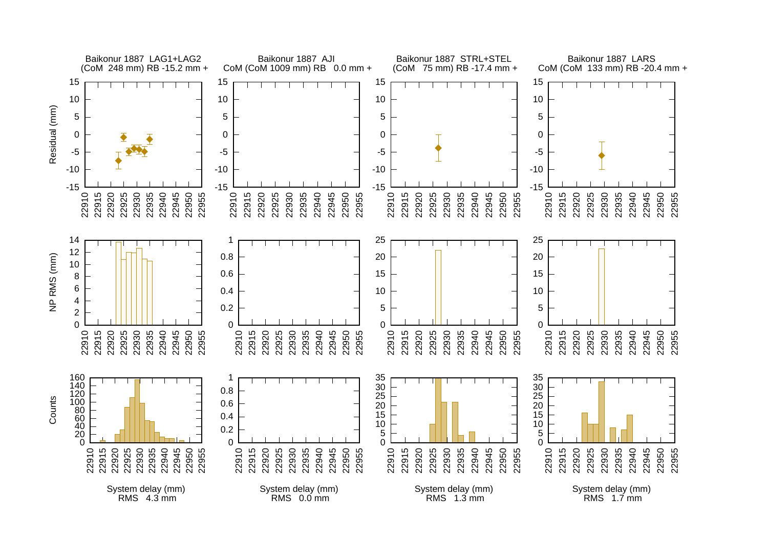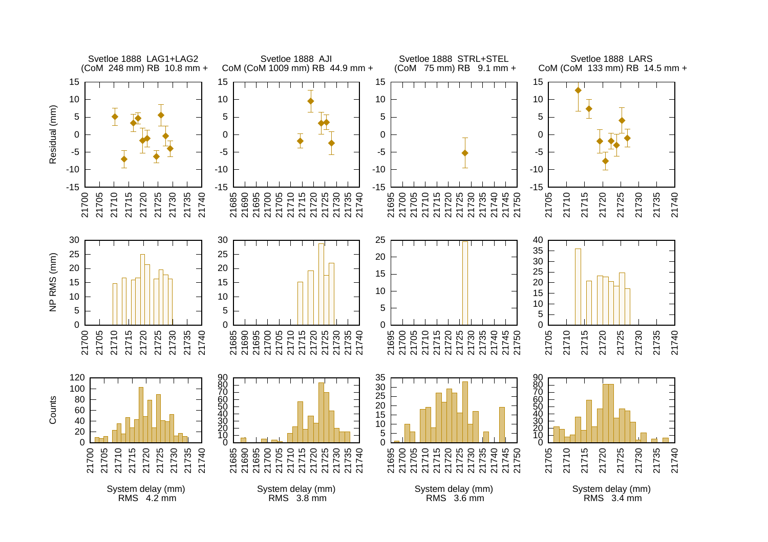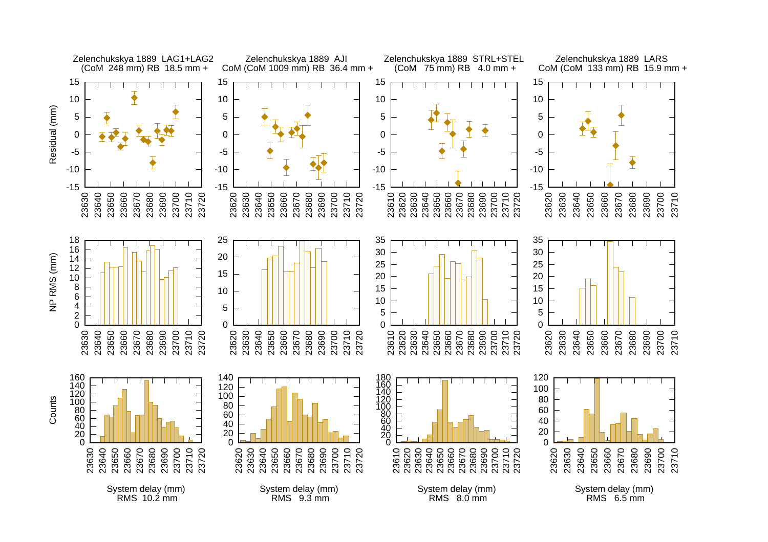

RMS 6.5 mm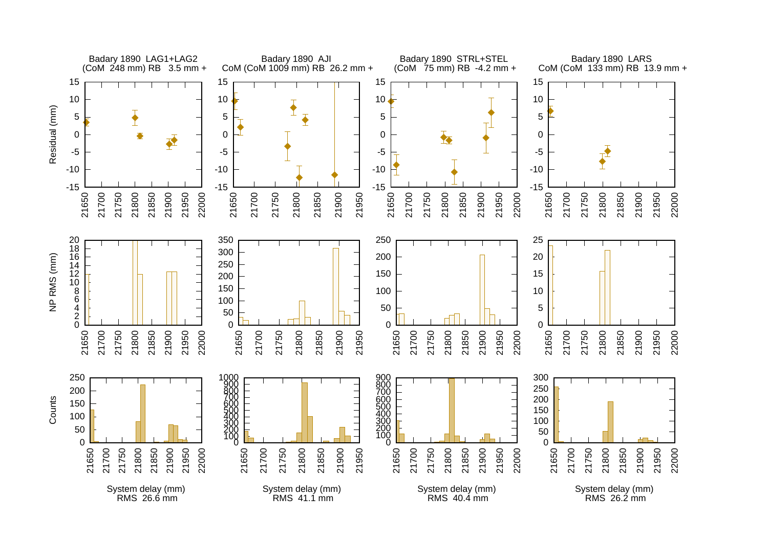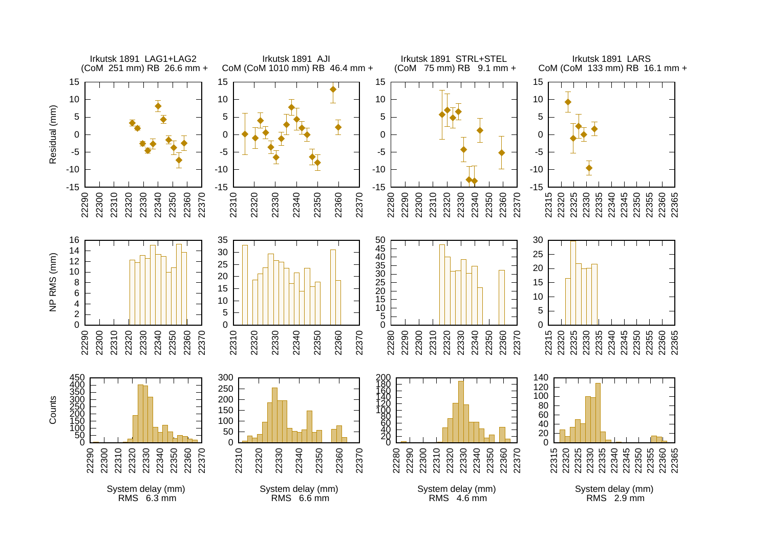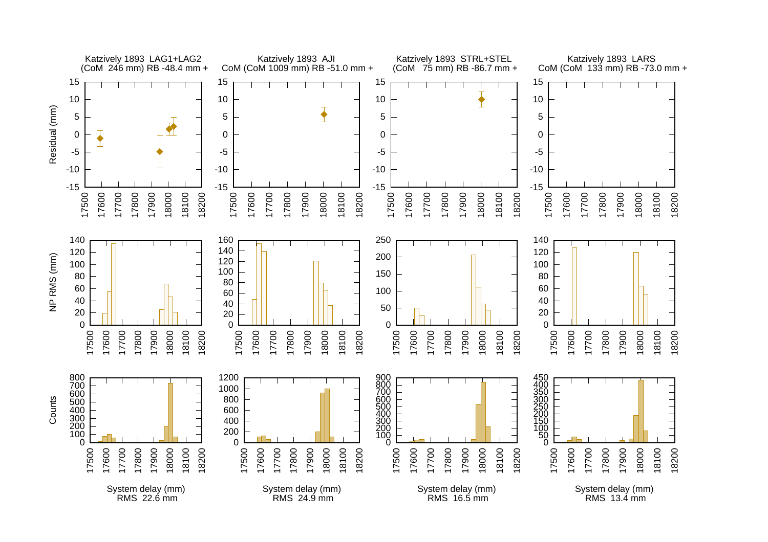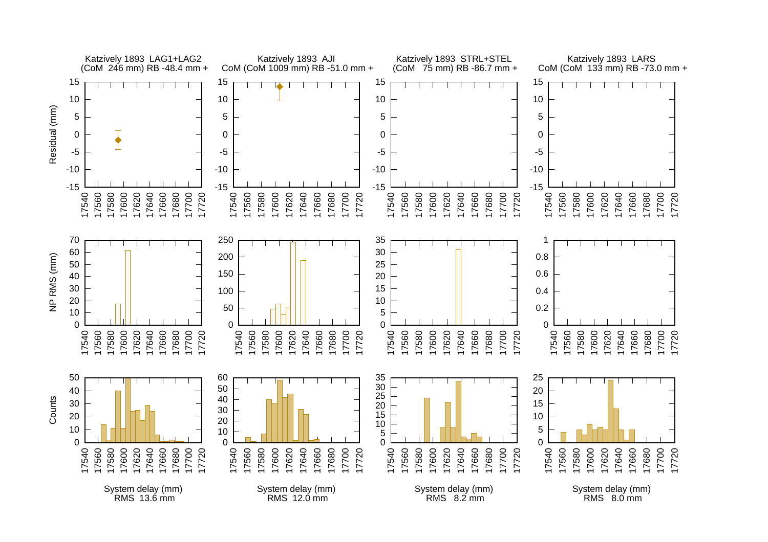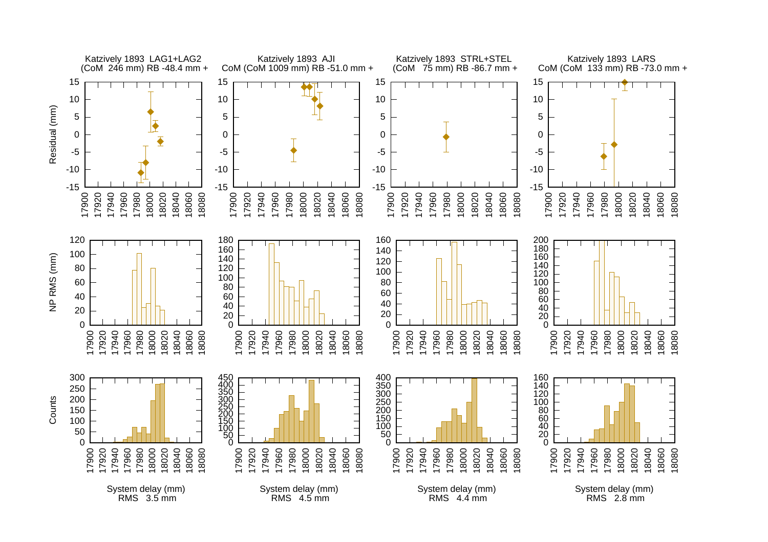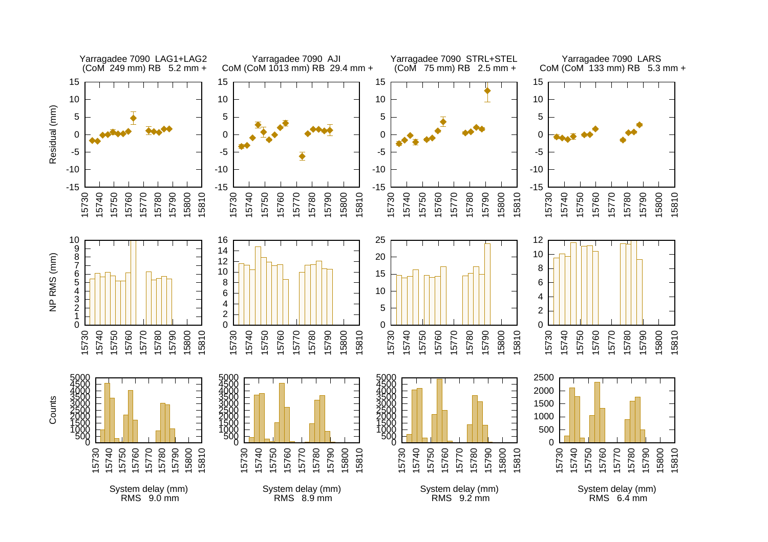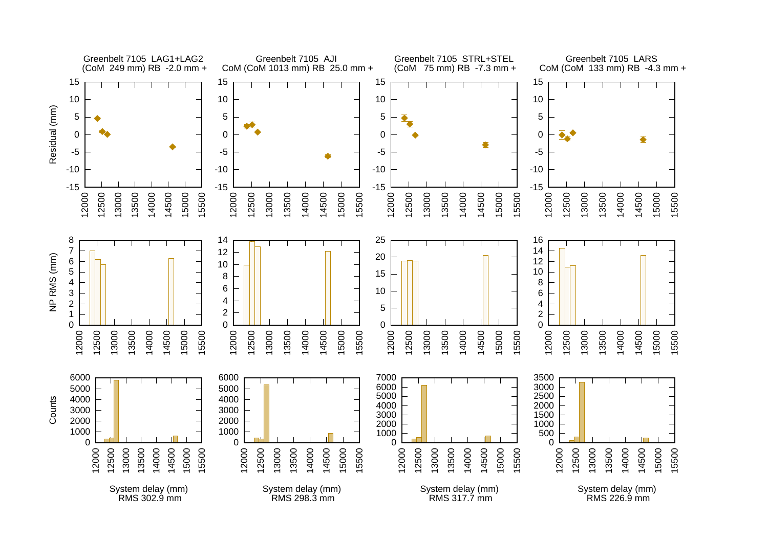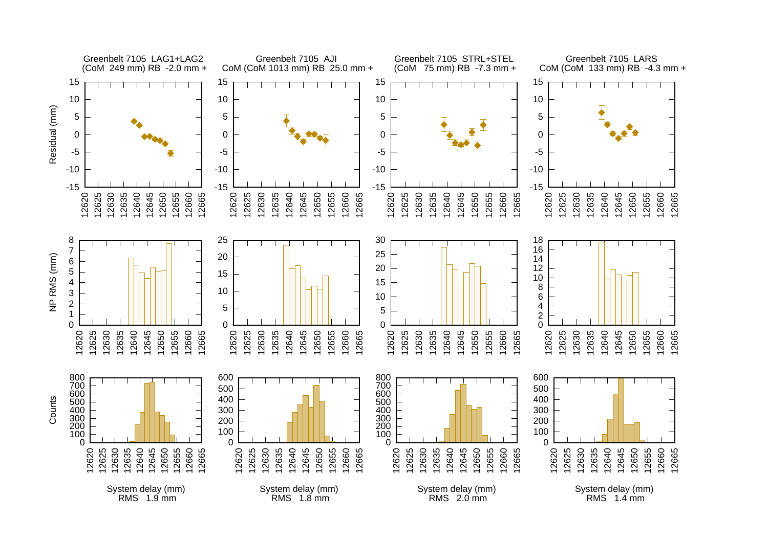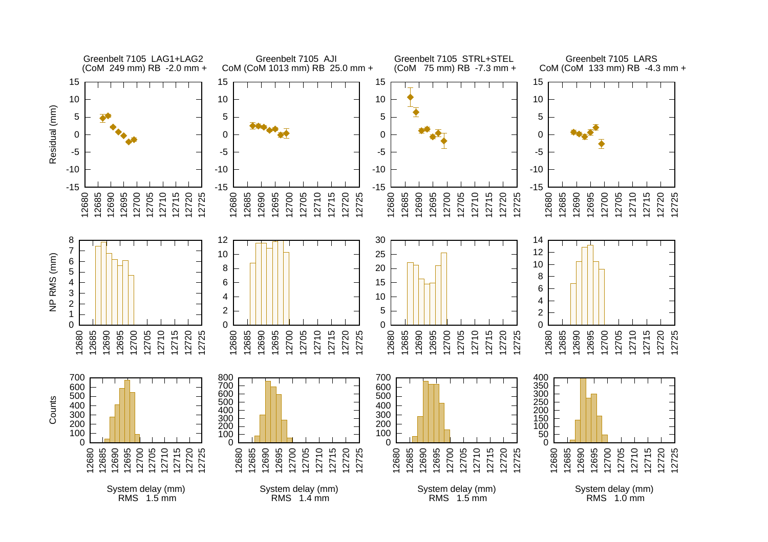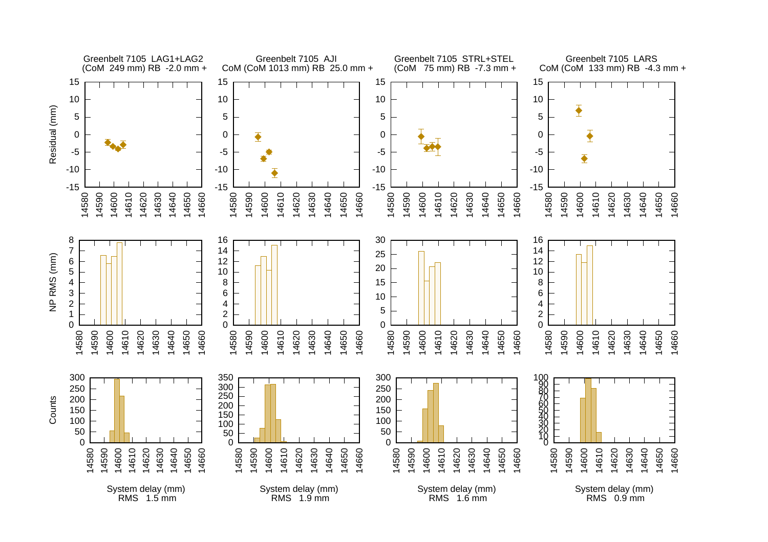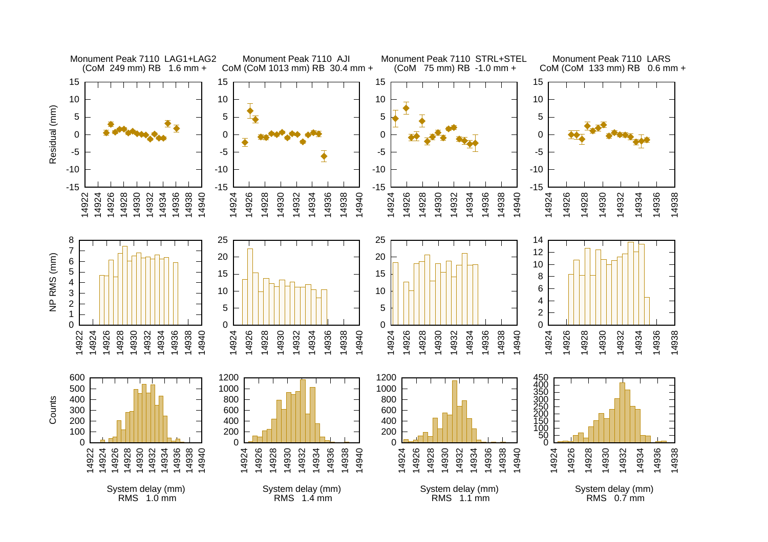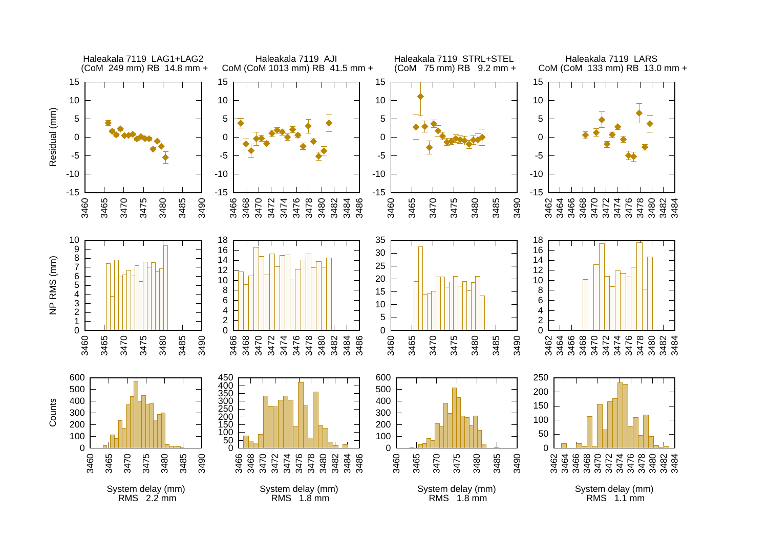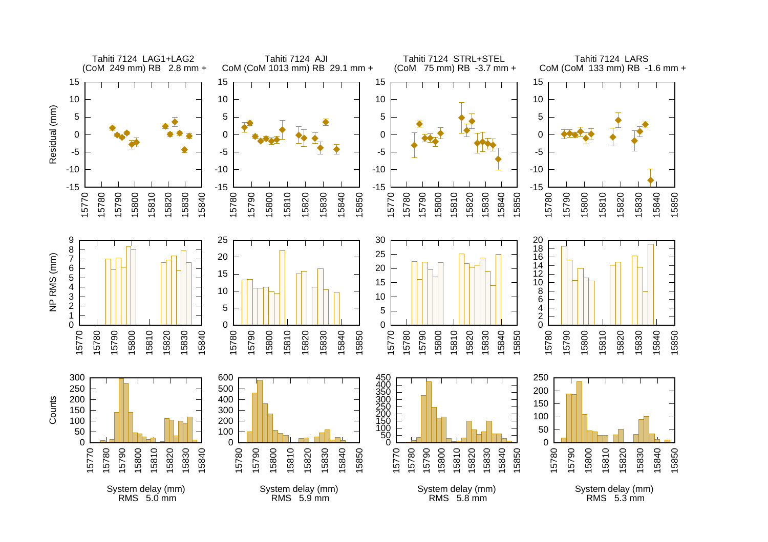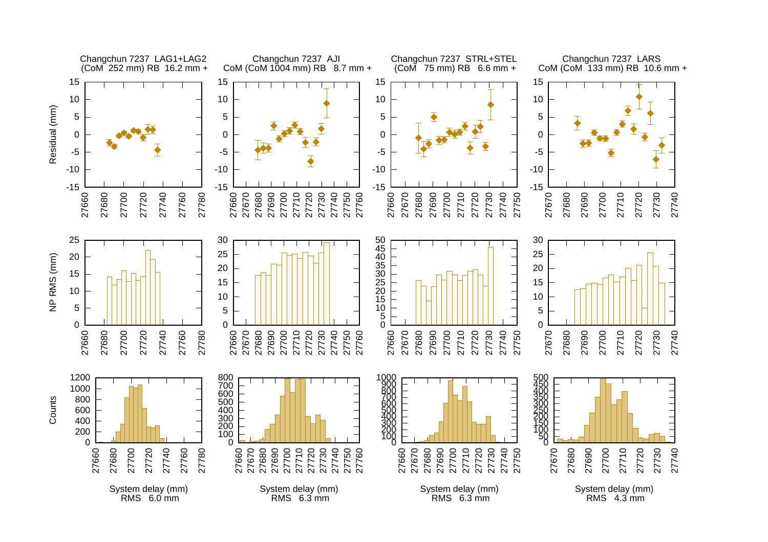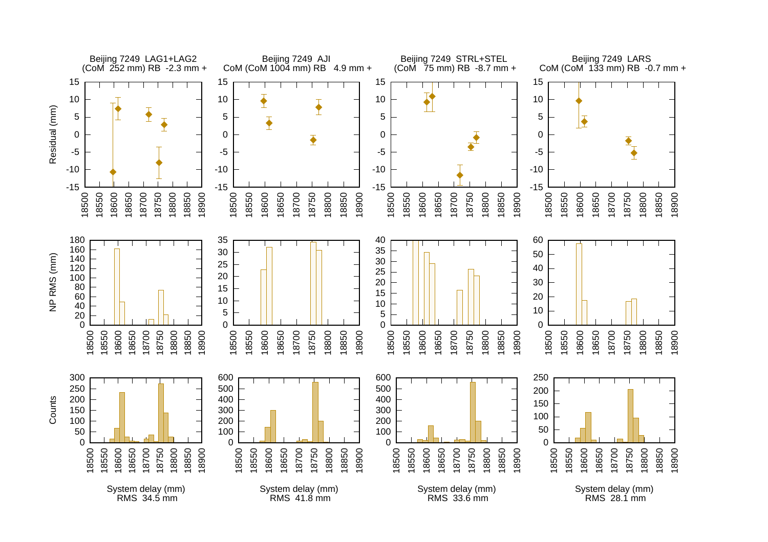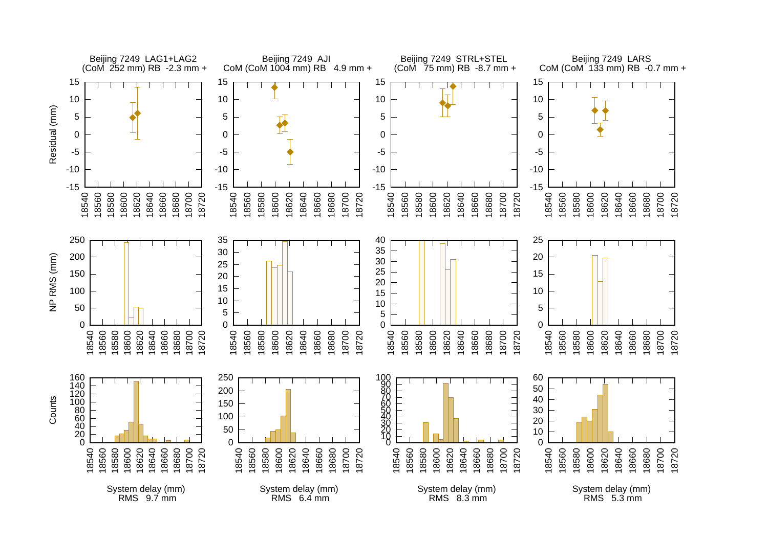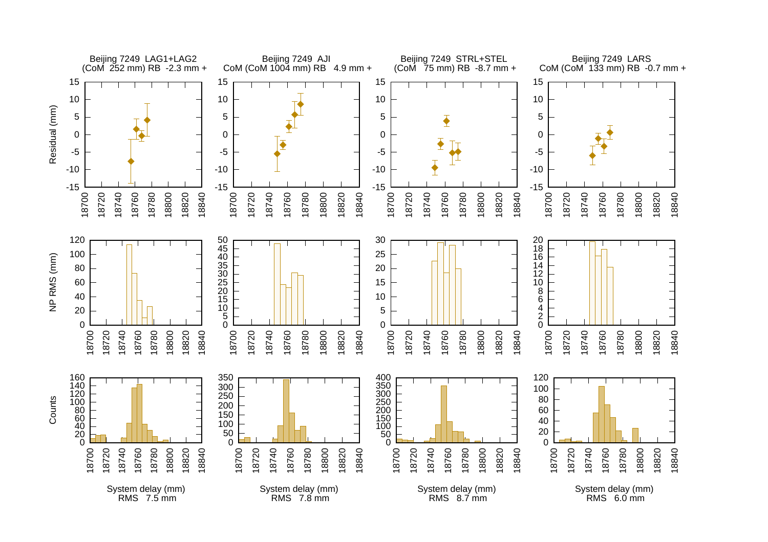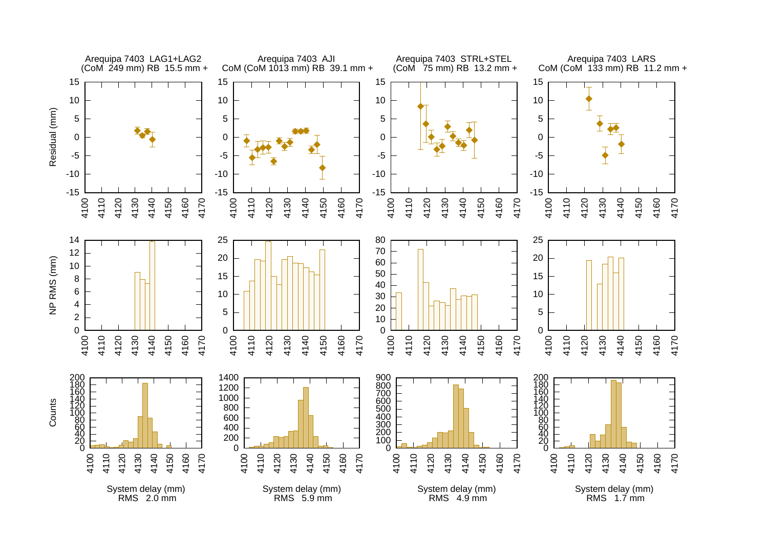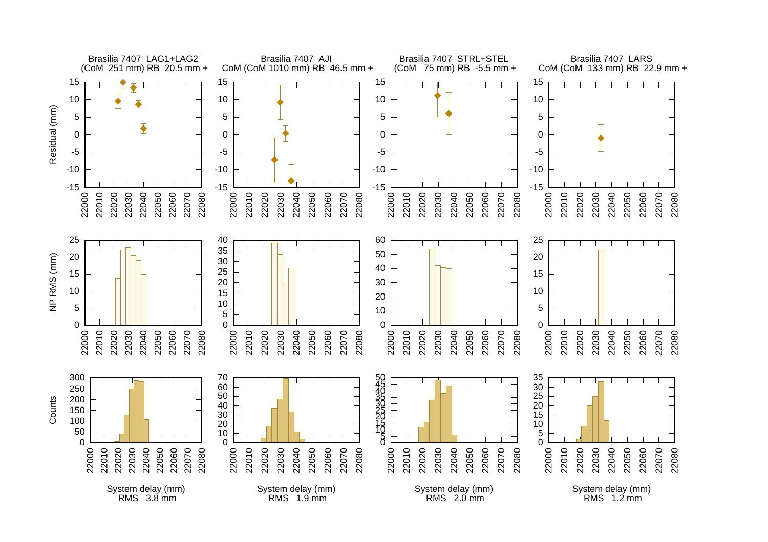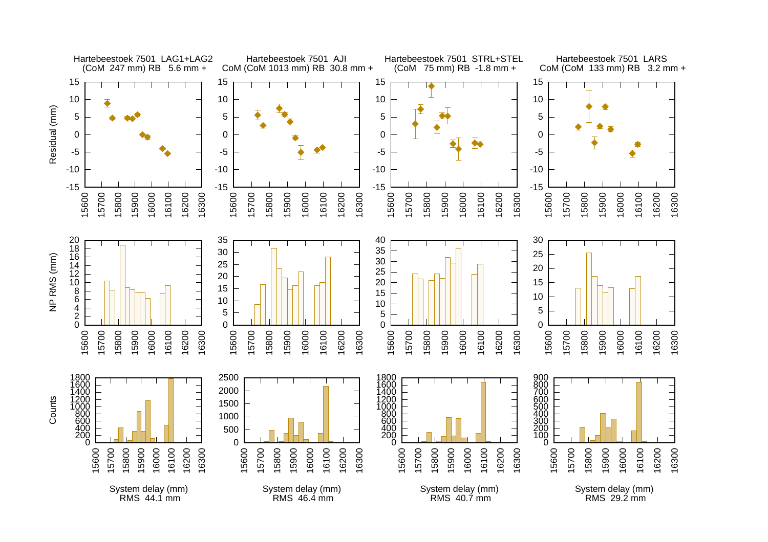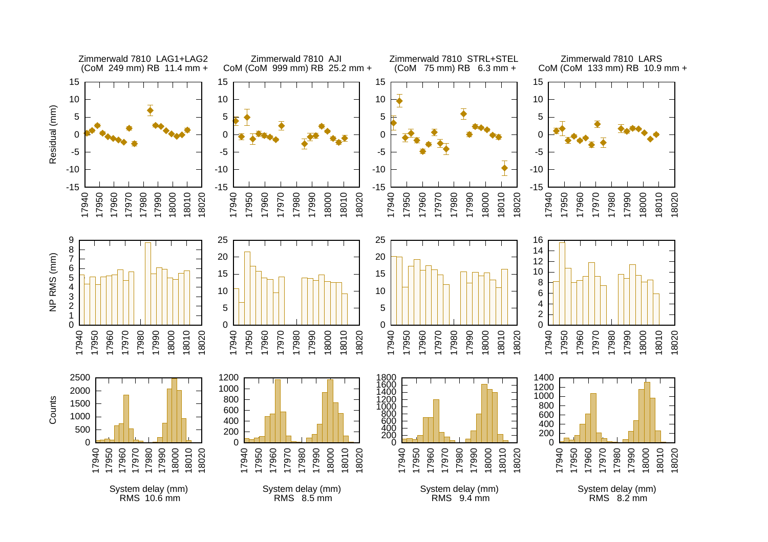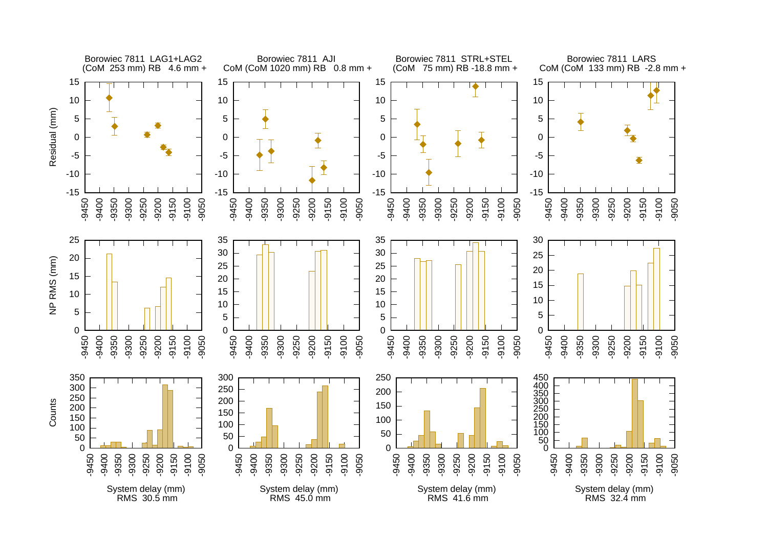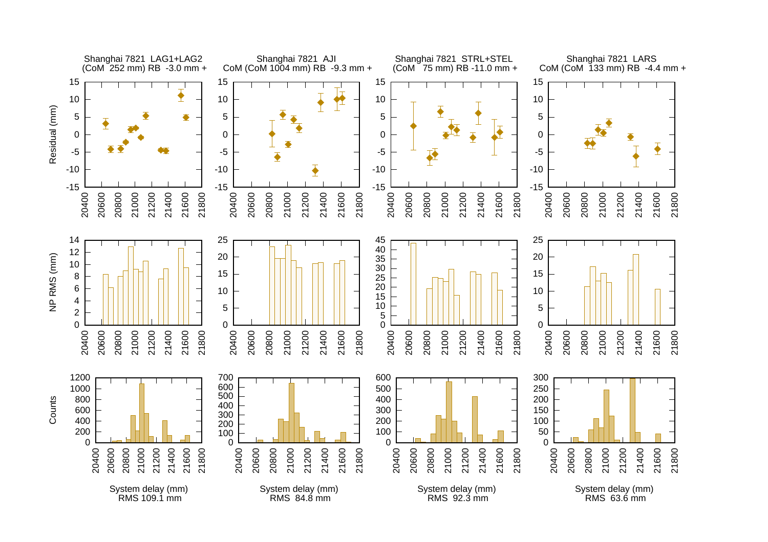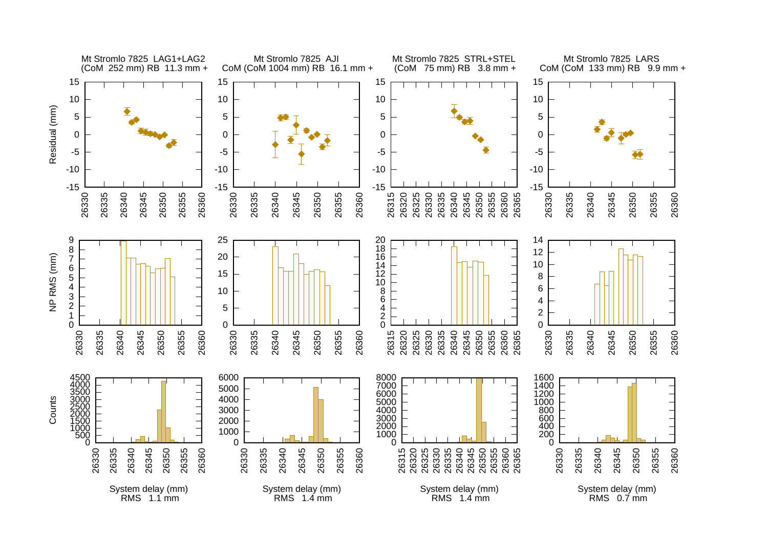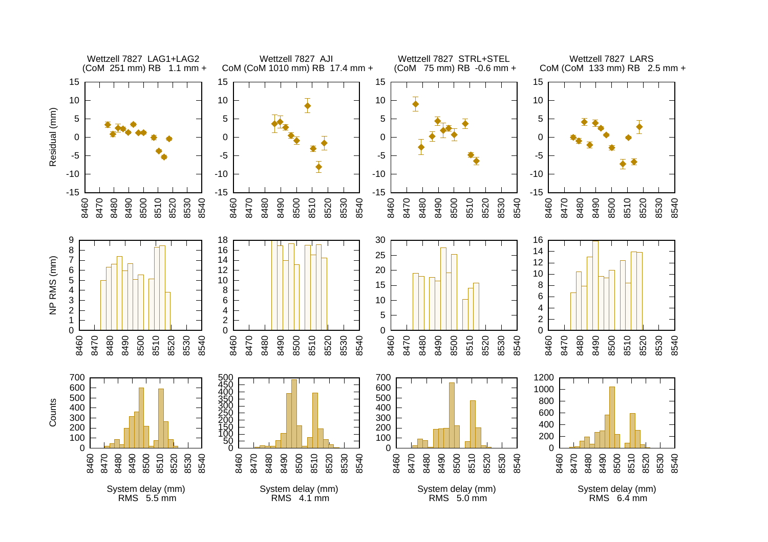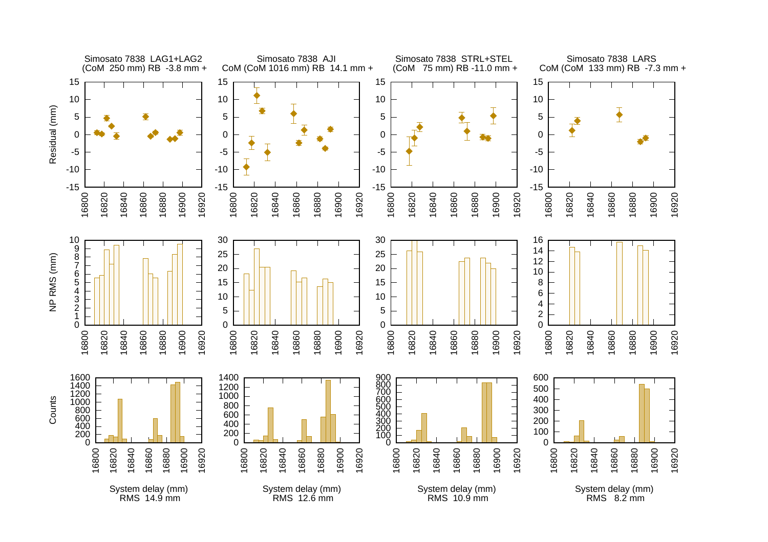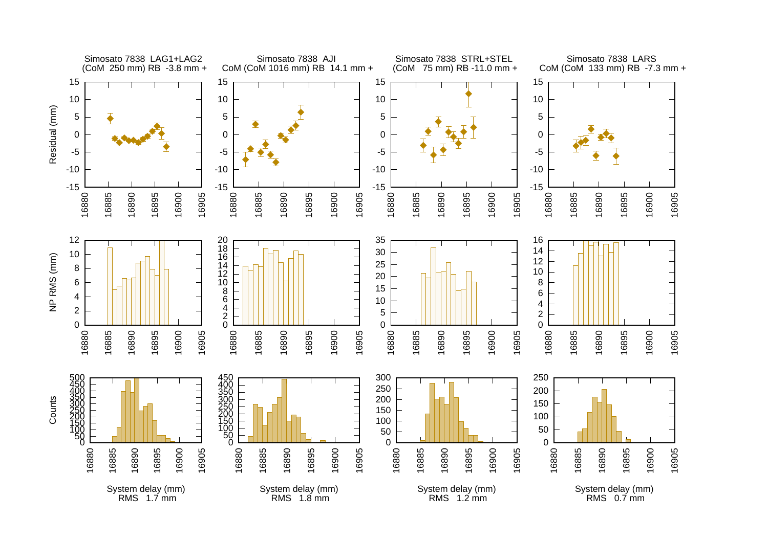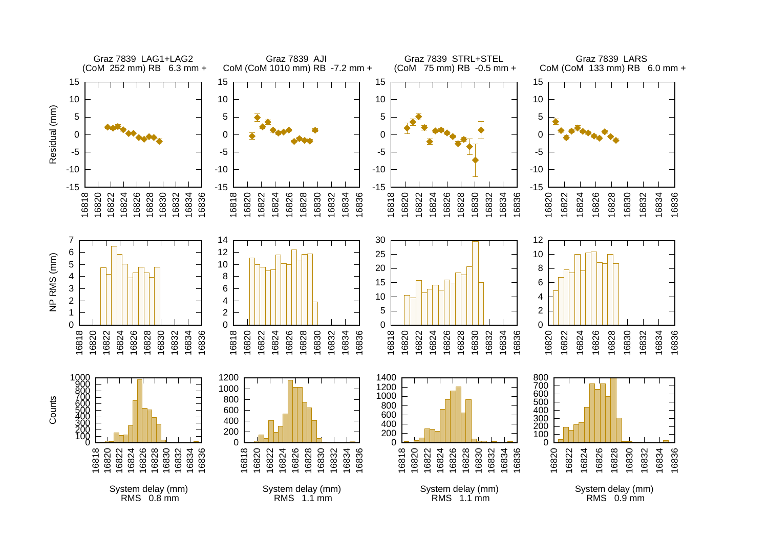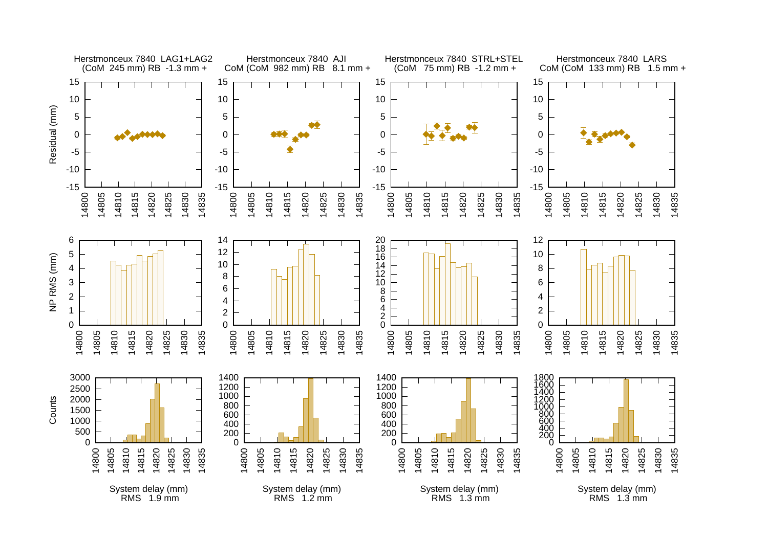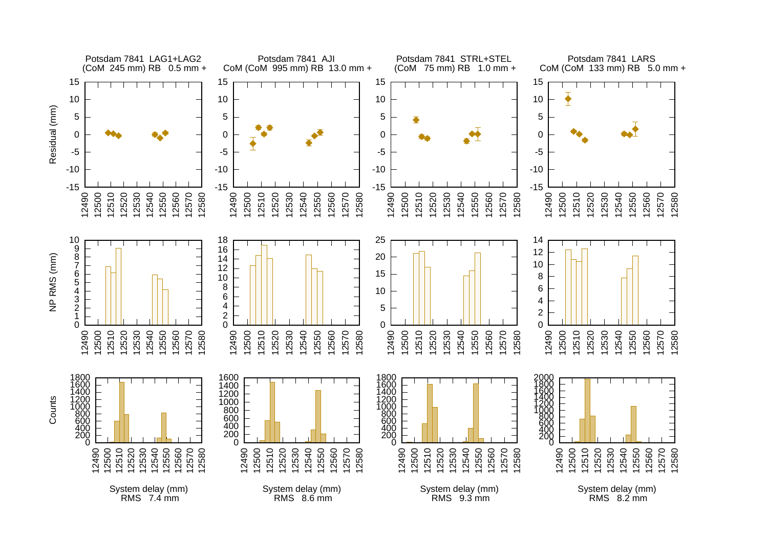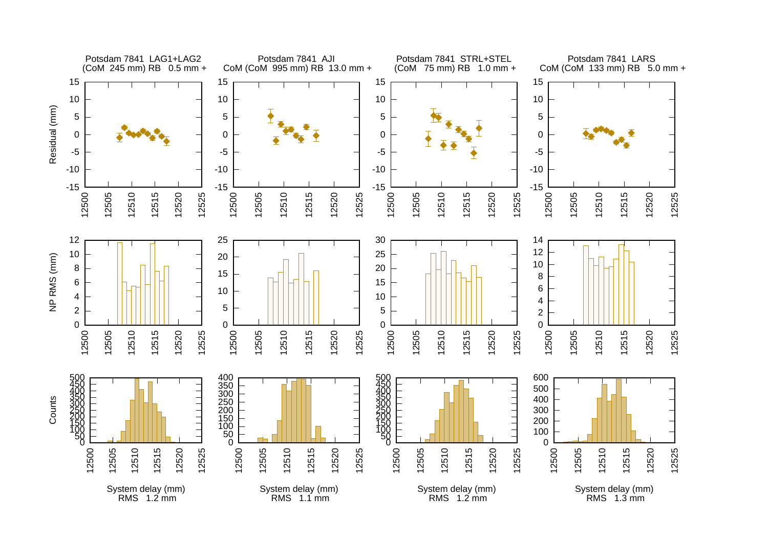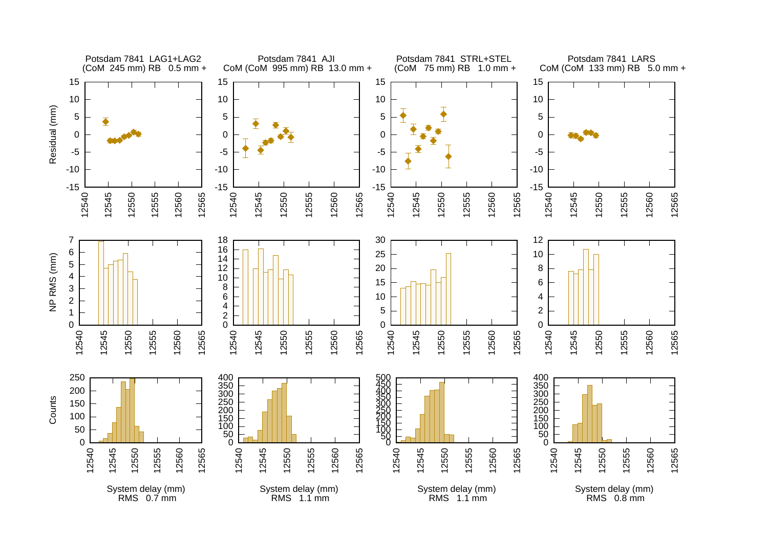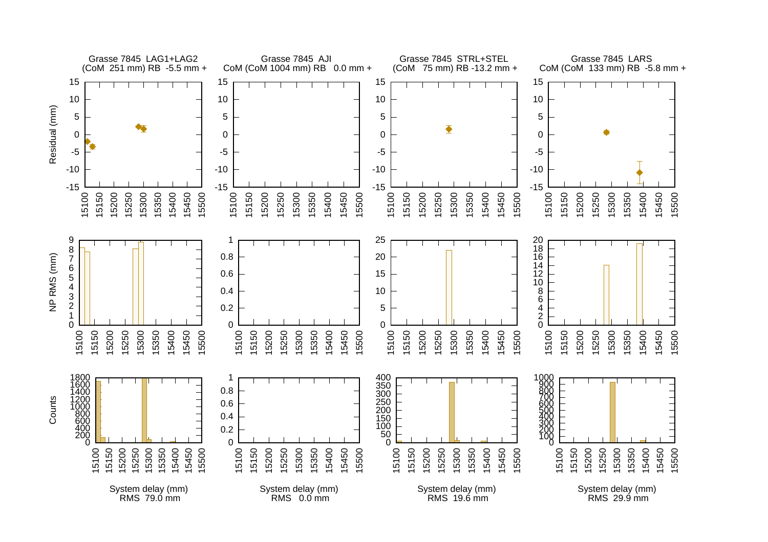![](_page_46_Figure_0.jpeg)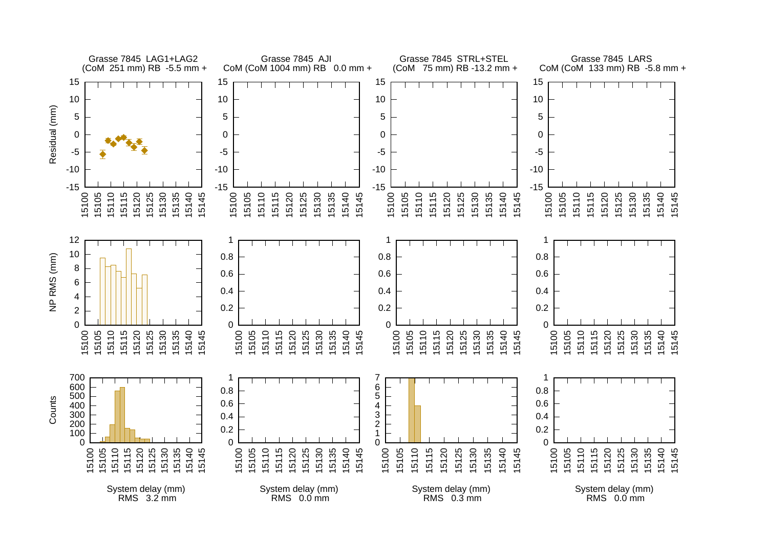![](_page_47_Figure_0.jpeg)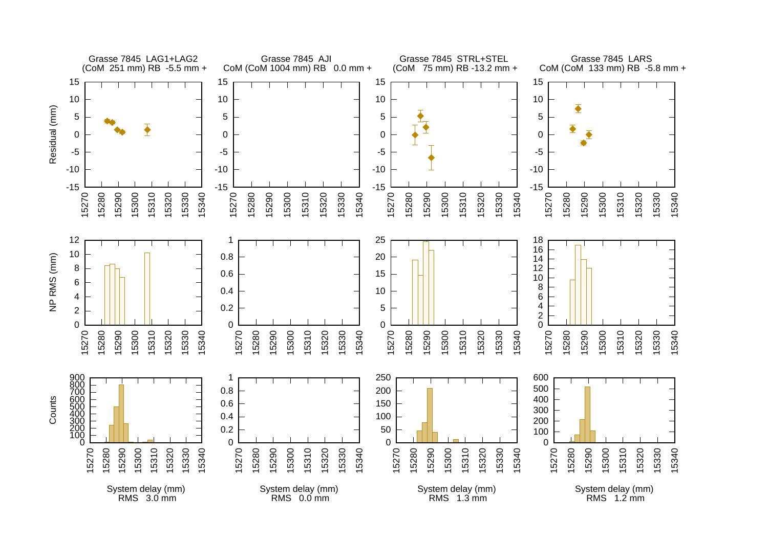![](_page_48_Figure_0.jpeg)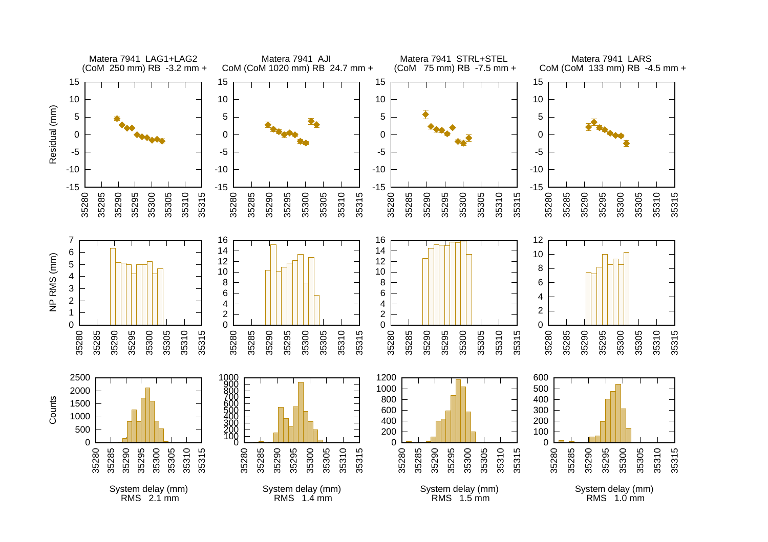![](_page_49_Figure_0.jpeg)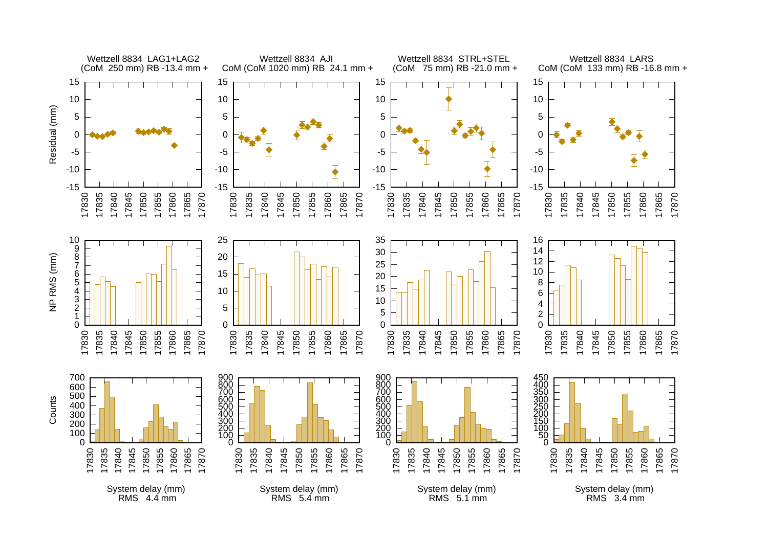![](_page_50_Figure_0.jpeg)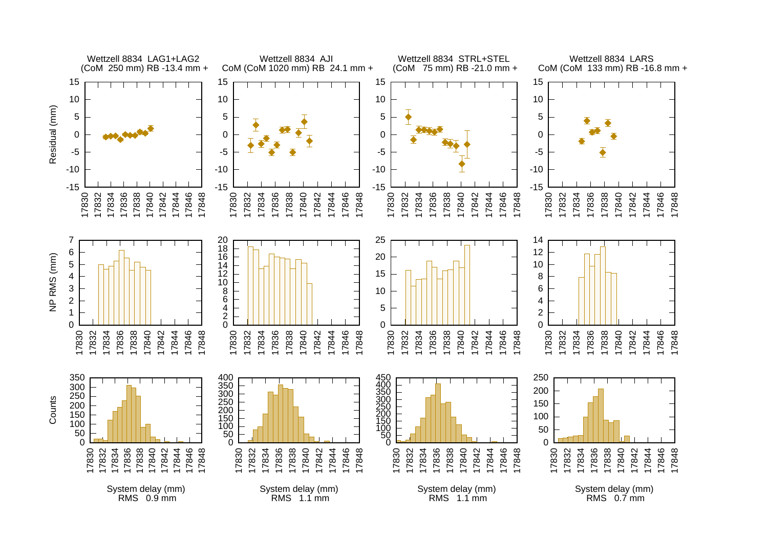![](_page_51_Figure_0.jpeg)